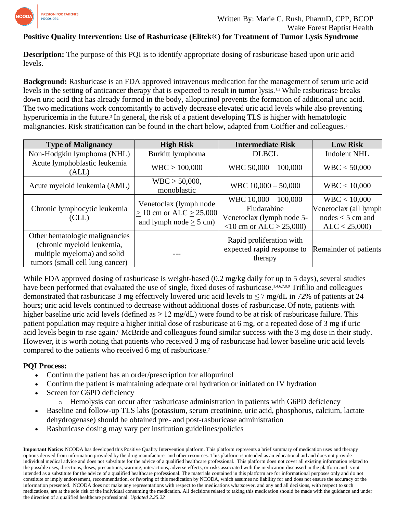

## **Positive Quality Intervention: Use of Rasburicase (Elitek**®**) for Treatment of Tumor Lysis Syndrome**

**Description:** The purpose of this PQI is to identify appropriate dosing of rasburicase based upon uric acid levels.

**Background:** Rasburicase is an FDA approved intravenous medication for the management of serum uric acid levels in the setting of anticancer therapy that is expected to result in tumor lysis.1,2 While rasburicase breaks down uric acid that has already formed in the body, allopurinol prevents the formation of additional uric acid. The two medications work concomitantly to actively decrease elevated uric acid levels while also preventing hyperuricemia in the future.<sup>3</sup> In general, the risk of a patient developing TLS is higher with hematologic malignancies. Risk stratification can be found in the chart below, adapted from Coiffier and colleagues.<sup>5</sup>

| <b>Type of Malignancy</b>                                                                                                      | <b>High Risk</b>                                                                            | <b>Intermediate Risk</b>                                                                         | <b>Low Risk</b>                                                             |  |
|--------------------------------------------------------------------------------------------------------------------------------|---------------------------------------------------------------------------------------------|--------------------------------------------------------------------------------------------------|-----------------------------------------------------------------------------|--|
| Non-Hodgkin lymphoma (NHL)                                                                                                     | Burkitt lymphoma                                                                            | <b>DLBCL</b>                                                                                     | <b>Indolent NHL</b>                                                         |  |
| Acute lymphoblastic leukemia<br>(ALL)                                                                                          | WBC > 100,000                                                                               | WBC 50,000 - 100,000                                                                             | WBC < 50,000                                                                |  |
| Acute myeloid leukemia (AML)                                                                                                   | $WBC > 50,000$ ,<br>monoblastic                                                             | WBC $10,000 - 50,000$                                                                            | WBC < 10,000                                                                |  |
| Chronic lymphocytic leukemia<br>(CLL)                                                                                          | Venetoclax (lymph node)<br>$\geq 10$ cm or ALC $\geq 25,000$<br>and lymph node $\geq$ 5 cm) | WBC $10,000 - 100,000$<br>Fludarabine<br>Venetoclax (lymph node 5-<br>$<$ 10 cm or ALC > 25,000) | WBC < 10,000<br>Venetoclax (all lymph<br>$nodes < 5$ cm and<br>ALC < 25,000 |  |
| Other hematologic malignancies<br>(chronic myeloid leukemia,<br>multiple myeloma) and solid<br>tumors (small cell lung cancer) |                                                                                             | Rapid proliferation with<br>expected rapid response to<br>therapy                                | Remainder of patients                                                       |  |

While FDA approved dosing of rasburicase is weight-based (0.2 mg/kg daily for up to 5 days), several studies have been performed that evaluated the use of single, fixed doses of rasburicase.<sup>1,4,6,7,8,9</sup> Trifilio and colleagues demonstrated that rasburicase 3 mg effectively lowered uric acid levels to  $\leq$  7 mg/dL in 72% of patients at 24 hours; uric acid levels continued to decrease without additional doses of rasburicase.Of note, patients with higher baseline uric acid levels (defined as  $\geq 12 \text{ mg/dL}$ ) were found to be at risk of rasburicase failure. This patient population may require a higher initial dose of rasburicase at 6 mg, or a repeated dose of 3 mg if uric acid levels begin to rise again.<sup>6</sup> McBride and colleagues found similar success with the 3 mg dose in their study. However, it is worth noting that patients who received 3 mg of rasburicase had lower baseline uric acid levels compared to the patients who received 6 mg of rasburicase.<sup>7</sup>

#### **PQI Process:**

- Confirm the patient has an order/prescription for allopurinol
- Confirm the patient is maintaining adequate oral hydration or initiated on IV hydration
- Screen for G6PD deficiency
	- $\circ$  Hemolysis can occur after rasburicase administration in patients with G6PD deficiency
- Baseline and follow-up TLS labs (potassium, serum creatinine, uric acid, phosphorus, calcium, lactate dehydrogenase) should be obtained pre- and post-rasburicase administration
- Rasburicase dosing may vary per institution guidelines/policies

**Important Notice:** NCODA has developed this Positive Quality Intervention platform. This platform represents a brief summary of medication uses and therapy options derived from information provided by the drug manufacturer and other resources. This platform is intended as an educational aid and does not provide individual medical advice and does not substitute for the advice of a qualified healthcare professional. This platform does not cover all existing information related to the possible uses, directions, doses, precautions, warning, interactions, adverse effects, or risks associated with the medication discussed in the platform and is not intended as a substitute for the advice of a qualified healthcare professional. The materials contained in this platform are for informational purposes only and do not constitute or imply endorsement, recommendation, or favoring of this medication by NCODA, which assumes no liability for and does not ensure the accuracy of the information presented. NCODA does not make any representations with respect to the medications whatsoever, and any and all decisions, with respect to such medications, are at the sole risk of the individual consuming the medication. All decisions related to taking this medication should be made with the guidance and under the direction of a qualified healthcare professional. *Updated 2.25.22*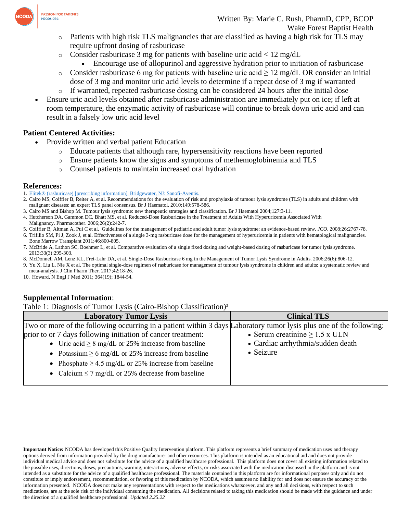

- Patients with high risk TLS malignancies that are classified as having a high risk for TLS may require upfront dosing of rasburicase
- o Consider rasburicase 3 mg for patients with baseline uric acid < 12 mg/dL
	- Encourage use of allopurinol and aggressive hydration prior to initiation of rasburicase
- o Consider rasburicase 6 mg for patients with baseline uric acid  $\geq 12$  mg/dL OR consider an initial dose of 3 mg and monitor uric acid levels to determine if a repeat dose of 3 mg if warranted
- $\circ$  If warranted, repeated rasburicase dosing can be considered 24 hours after the initial dose
- Ensure uric acid levels obtained after rasburicase administration are immediately put on ice; if left at room temperature, the enzymatic activity of rasburicase will continue to break down uric acid and can result in a falsely low uric acid level

### **Patient Centered Activities:**

- Provide written and verbal patient Education
	- o Educate patients that although rare, hypersensitivity reactions have been reported
	- o Ensure patients know the signs and symptoms of methemoglobinemia and TLS
	- o Counsel patients to maintain increased oral hydration

#### **References:**

- 1. Elitek® [\(rasburicase\) \[prescribing information\]. Bridgewater, NJ: Sanofi-Aventis.](https://www.accessdata.fda.gov/drugsatfda_docs/label/2002/rasbsan071202LB.pdf)
- 2. Cairo MS, Coiffier B, Reiter A, et al. Recommendations for the evaluation of risk and prophylaxis of tumour lysis syndrome (TLS) in adults and children with malignant diseases: an expert TLS panel consensus. Br J Haematol. 2010;149:578-586.
- 3. Cairo MS and Bishop M. Tumour lysis syndrome: new therapeutic strategies and classification. Br J Haematol 2004;127:3-11.
- 4. Hutcherson DA, Gammon DC, Bhatt MS, et al. Reduced-Dose Rasburicase in the Treatment of Adults With Hyperuricemia Associated With
- Malignancy. Pharmacother. 2006;26(2):242-7.
- 5. Coiffier B, Altman A, Pui C et al. Guidelines for the management of pediatric and adult tumor lysis syndrome: an evidence-based review. *JCO*. 2008;26:2767-78.
- 6. Trifilio SM, Pi J, Zook J, et al. Effectiveness of a single 3-mg rasburicase dose for the management of hyperuricemia in patients with hematological malignancies. Bone Marrow Transplant 2011;46:800-805.
- 7. McBride A, Lathon SC, Boehmer L, et al. Comparative evaluation of a single fixed dosing and weight-based dosing of rasburicase for tumor lysis syndrome. 2013;33(3):295-303.
- 8. McDonnell AM, Lenz KL, Frei-Lahr DA, et al. Single-Dose Rasburicase 6 mg in the Management of Tumor Lysis Syndrome in Adults. 2006;26(6):806-12.
- 9. Yu X, Liu L, Nie X et al. The optimal single-dose regimen of rasburicase for management of tumour lysis syndrome in chlidren and adults: a systematic review and meta-analysis. J Clin Pharm Ther. 2017;42:18-26.
- 10. Howard, N Engl J Med 2011; 364(19); 1844-54.

# **Supplemental Information**:

Table 1: Diagnosis of Tumor Lysis (Cairo-Bishop Classification)<sup>3</sup>

| Tubbe 1. Diagnosis of Tulliof Dysis (Callo Distrop Chassification)                                                  |                                     |  |  |  |  |
|---------------------------------------------------------------------------------------------------------------------|-------------------------------------|--|--|--|--|
| <b>Laboratory Tumor Lysis</b>                                                                                       | <b>Clinical TLS</b>                 |  |  |  |  |
| Two or more of the following occurring in a patient within 3 days Laboratory tumor lysis plus one of the following: |                                     |  |  |  |  |
| prior to or 7 days following initiation of cancer treatment:                                                        | • Serum creatinine $\geq 1.5$ x ULN |  |  |  |  |
| • Uric acid $\geq 8$ mg/dL or 25% increase from baseline                                                            | • Cardiac arrhythmia/sudden death   |  |  |  |  |
| • Potassium $\geq 6$ mg/dL or 25% increase from baseline                                                            | • Seizure                           |  |  |  |  |
| • Phosphate $\geq$ 4.5 mg/dL or 25% increase from baseline                                                          |                                     |  |  |  |  |
| • Calcium $\leq$ 7 mg/dL or 25% decrease from baseline                                                              |                                     |  |  |  |  |

**Important Notice:** NCODA has developed this Positive Quality Intervention platform. This platform represents a brief summary of medication uses and therapy options derived from information provided by the drug manufacturer and other resources. This platform is intended as an educational aid and does not provide individual medical advice and does not substitute for the advice of a qualified healthcare professional. This platform does not cover all existing information related to the possible uses, directions, doses, precautions, warning, interactions, adverse effects, or risks associated with the medication discussed in the platform and is not intended as a substitute for the advice of a qualified healthcare professional. The materials contained in this platform are for informational purposes only and do not constitute or imply endorsement, recommendation, or favoring of this medication by NCODA, which assumes no liability for and does not ensure the accuracy of the information presented. NCODA does not make any representations with respect to the medications whatsoever, and any and all decisions, with respect to such medications, are at the sole risk of the individual consuming the medication. All decisions related to taking this medication should be made with the guidance and under the direction of a qualified healthcare professional. *Updated 2.25.22*